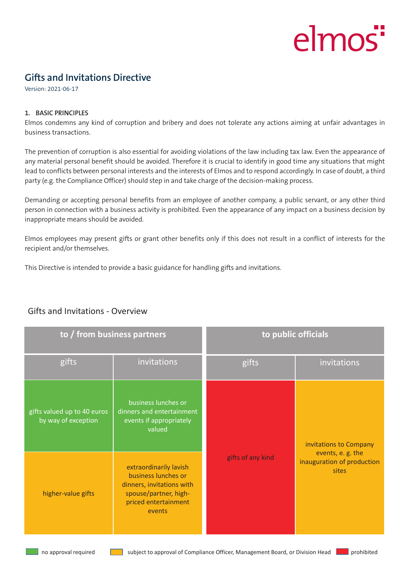# elmos"

# **Gifts and Invitations Directive**

Version: 2021-06-17

#### **1. BASIC PRINCIPLES**

Elmos condemns any kind of corruption and bribery and does not tolerate any actions aiming at unfair advantages in business transactions.

The prevention of corruption is also essential for avoiding violations of the law including tax law. Even the appearance of any material personal benefit should be avoided. Therefore it is crucial to identify in good time any situations that might lead to conflicts between personal interests and the interests of Elmos and to respond accordingly. In case of doubt, a third party (e.g. the Compliance Officer) should step in and take charge of the decision-making process.

Demanding or accepting personal benefits from an employee of another company, a public servant, or any other third person in connection with a business activity is prohibited. Even the appearance of any impact on a business decision by inappropriate means should be avoided.

Elmos employees may present gifts or grant other benefits only if this does not result in a conflict of interests for the recipient and/or themselves.

This Directive is intended to provide a basic guidance for handling gifts and invitations.

| to / from business partners                        |                                                                                                                                       | to public officials |                                                                                   |
|----------------------------------------------------|---------------------------------------------------------------------------------------------------------------------------------------|---------------------|-----------------------------------------------------------------------------------|
| gifts                                              | invitations                                                                                                                           | gifts               | invitations                                                                       |
| gifts valued up to 40 euros<br>by way of exception | business lunches or<br>dinners and entertainment<br>events if appropriately<br>valued                                                 | gifts of any kind   | invitations to Company<br>events, e.g. the<br>inauguration of production<br>sites |
| higher-value gifts                                 | extraordinarily lavish<br>business lunches or<br>dinners, invitations with<br>spouse/partner, high-<br>priced entertainment<br>events |                     |                                                                                   |

# Gifts and Invitations - Overview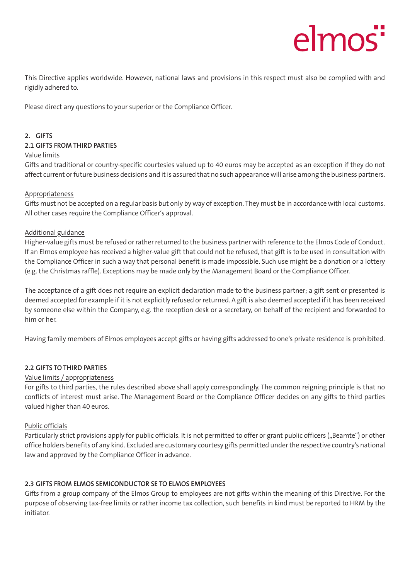# elmos<sup>"</sup>

This Directive applies worldwide. However, national laws and provisions in this respect must also be complied with and rigidly adhered to.

Please direct any questions to your superior or the Compliance Officer.

# **2. GIFTS**

# **2.1 GIFTS FROM THIRD PARTIES**

# Value limits

Gifts and traditional or country-specific courtesies valued up to 40 euros may be accepted as an exception if they do not affect current or future business decisions and it is assured that no such appearance will arise among the business partners.

# Appropriateness

Gifts must not be accepted on a regular basis but only by way of exception. They must be in accordance with local customs. All other cases require the Compliance Officer's approval.

# Additional guidance

Higher-value gifts must be refused or rather returned to the business partner with reference to the Elmos Code of Conduct. If an Elmos employee has received a higher-value gift that could not be refused, that gift is to be used in consultation with the Compliance Officer in such a way that personal benefit is made impossible. Such use might be a donation or a lottery (e.g. the Christmas raffle). Exceptions may be made only by the Management Board or the Compliance Officer.

The acceptance of a gift does not require an explicit declaration made to the business partner; a gift sent or presented is deemed accepted for example if it is not explicitly refused or returned. A gift is also deemed accepted if it has been received by someone else within the Company, e.g. the reception desk or a secretary, on behalf of the recipient and forwarded to him or her.

Having family members of Elmos employees accept gifts or having gifts addressed to one's private residence is prohibited.

#### **2.2 GIFTS TO THIRD PARTIES**

#### Value limits / appropriateness

For gifts to third parties, the rules described above shall apply correspondingly. The common reigning principle is that no conflicts of interest must arise. The Management Board or the Compliance Officer decides on any gifts to third parties valued higher than 40 euros.

#### Public officials

Particularly strict provisions apply for public officials. It is not permitted to offer or grant public officers ("Beamte") or other office holders benefits of any kind. Excluded are customary courtesy gifts permitted under the respective country's national law and approved by the Compliance Officer in advance.

# **2.3 GIFTS FROM ELMOS SEMICONDUCTOR SE TO ELMOS EMPLOYEES**

Gifts from a group company of the Elmos Group to employees are not gifts within the meaning of this Directive. For the purpose of observing tax-free limits or rather income tax collection, such benefits in kind must be reported to HRM by the initiator.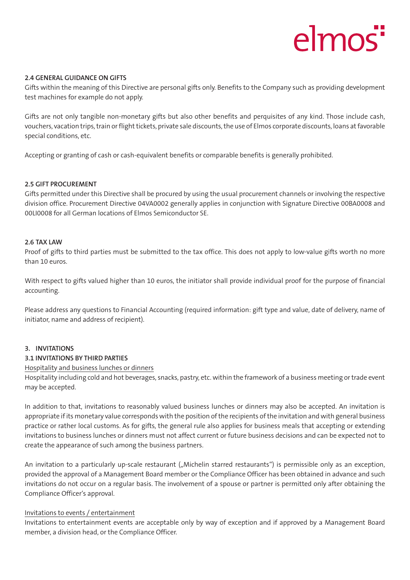# elmos

#### **2.4 GENERAL GUIDANCE ON GIFTS**

Gifts within the meaning of this Directive are personal gifts only. Benefits to the Company such as providing development test machines for example do not apply.

Gifts are not only tangible non-monetary gifts but also other benefits and perquisites of any kind. Those include cash, vouchers, vacation trips, train or flight tickets, private sale discounts, the use of Elmos corporate discounts, loans at favorable special conditions, etc.

Accepting or granting of cash or cash-equivalent benefits or comparable benefits is generally prohibited.

#### **2.5 GIFT PROCUREMENT**

Gifts permitted under this Directive shall be procured by using the usual procurement channels or involving the respective division office. Procurement Directive 04VA0002 generally applies in conjunction with Signature Directive 00BA0008 and 00LI0008 for all German locations of Elmos Semiconductor SE.

#### **2.6 TAX LAW**

Proof of gifts to third parties must be submitted to the tax office. This does not apply to low-value gifts worth no more than 10 euros.

With respect to gifts valued higher than 10 euros, the initiator shall provide individual proof for the purpose of financial accounting.

Please address any questions to Financial Accounting (required information: gift type and value, date of delivery, name of initiator, name and address of recipient).

#### **3. INVITATIONS**

#### **3.1 INVITATIONS BY THIRD PARTIES**

#### Hospitality and business lunches or dinners

Hospitality including cold and hot beverages, snacks, pastry, etc. within the framework of a business meeting or trade event may be accepted.

In addition to that, invitations to reasonably valued business lunches or dinners may also be accepted. An invitation is appropriate if its monetary value corresponds with the position of the recipients of the invitation and with general business practice or rather local customs. As for gifts, the general rule also applies for business meals that accepting or extending invitations to business lunches or dinners must not affect current or future business decisions and can be expected not to create the appearance of such among the business partners.

An invitation to a particularly up-scale restaurant ("Michelin starred restaurants") is permissible only as an exception, provided the approval of a Management Board member or the Compliance Officer has been obtained in advance and such invitations do not occur on a regular basis. The involvement of a spouse or partner is permitted only after obtaining the Compliance Officer's approval.

#### Invitations to events / entertainment

Invitations to entertainment events are acceptable only by way of exception and if approved by a Management Board member, a division head, or the Compliance Officer.